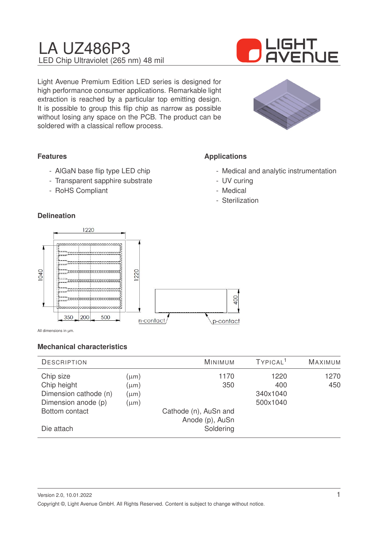# LA UZ486P3 LED Chip Ultraviolet (265 nm) 48 mil



Light Avenue Premium Edition LED series is designed for high performance consumer applications. Remarkable light extraction is reached by a particular top emitting design. It is possible to group this flip chip as narrow as possible without losing any space on the PCB. The product can be soldered with a classical reflow process.



## **Features**

- AlGaN base flip type LED chip
- Transparent sapphire substrate
- RoHS Compliant

## **Delineation**

## **Applications**

- Medical and analytic instrumentation
- UV curing
- Medical
- Sterilization



All dimensions in µm.

## **Mechanical characteristics**

| <b>MAXIMUM</b> |
|----------------|
| 1270           |
| 450            |
|                |
|                |
|                |
|                |
|                |
|                |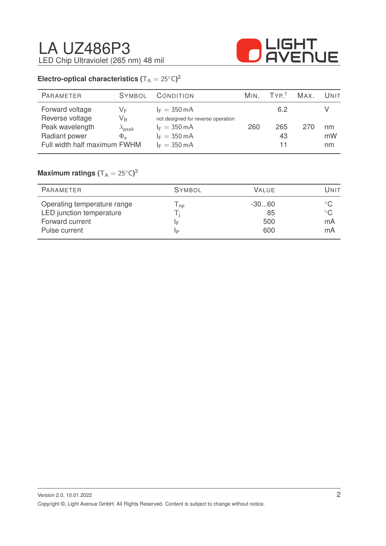

## **Electro-optical characteristics (** $T_A = 25^{\circ}C$ )<sup>2</sup>

| PARAMETER                          | <b>SYMBOL</b>                           | CONDITION                                                    | MIN. | TVP <sup>1</sup> | MAX. | UNIT     |
|------------------------------------|-----------------------------------------|--------------------------------------------------------------|------|------------------|------|----------|
| Forward voltage<br>Reverse voltage | VF.<br>$\mathsf{V}_\mathsf{R}$          | $I_F = 350 \text{ mA}$<br>not designed for reverse operation |      | 6.2              |      |          |
| Peak wavelength<br>Radiant power   | $\lambda_{\sf peak}$<br>$\Phi_{\alpha}$ | $I_F = 350 \text{ mA}$<br>$I_F = 350 \text{ mA}$             | 260  | 265<br>43        | 270  | nm<br>mW |
| Full width half maximum FWHM       |                                         | $I_F = 350 \text{ mA}$                                       |      | 11               |      | nm       |

## $Maximum$  ratings  $(T_A = 25^{\circ}C)^3$

| PARAMETER                                                                                   | <b>SYMBOL</b>                          | <b>VALUE</b>                | Unit                                     |
|---------------------------------------------------------------------------------------------|----------------------------------------|-----------------------------|------------------------------------------|
| Operating temperature range<br>LED junction temperature<br>Forward current<br>Pulse current | $\mathsf{I}_{\mathsf{op}}$<br>ΙF<br>IP | $-3060$<br>85<br>500<br>600 | $^{\circ}$ C<br>$^{\circ}$ C<br>mA<br>mA |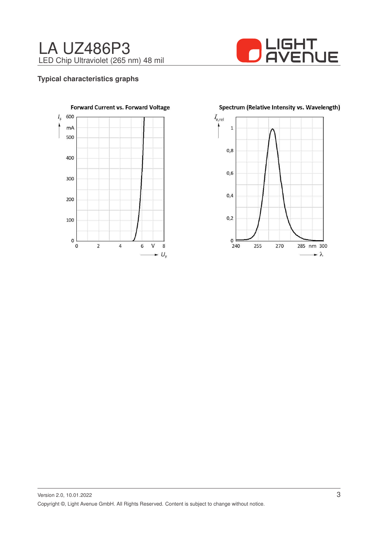



#### **Typical characteristics graphs**



Spectrum (Relative Intensity vs. Wavelength)

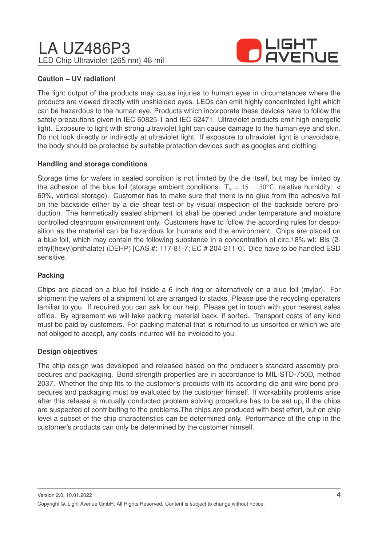# LA UZ486P3 LED Chip Ultraviolet (265 nm) 48 mil



## **Caution – UV radiation!**

The light output of the products may cause injuries to human eyes in circumstances where the products are viewed directly with unshielded eyes. LEDs can emit highly concentrated light which can be hazardous to the human eye. Products which incorporate these devices have to follow the safety precautions given in IEC 60825-1 and IEC 62471. Ultraviolet products emit high energetic light. Exposure to light with strong ultraviolet light can cause damage to the human eye and skin. Do not look directly or indirectly at ultraviolet light. If exposure to ultraviolet light is unavoidable, the body should be protected by suitable protection devices such as googles and clothing.

## **Handling and storage conditions**

Storage time for wafers in sealed condition is not limited by the die itself, but may be limited by the adhesion of the blue foil (storage ambient conditions:  $T_a = 15...30^{\circ}$ C; relative humidity: < 60%, vertical storage). Customer has to make sure that there is no glue from the adhesive foil on the backside either by a die shear test or by visual inspection of the backside before production. The hermetically sealed shipment lot shall be opened under temperature and moisture controlled cleanroom environment only. Customers have to follow the according rules for desposition as the material can be hazardous for humans and the environment. Chips are placed on a blue foil, which may contain the following substance in a concentration of circ.18% wt: Bis (2 ethyl(hexyl)phthalate) (DEHP) [CAS #: 117-81-7; EC # 204-211-0]. Dice have to be handled ESD sensitive.

## **Packing**

Chips are placed on a blue foil inside a 6 inch ring or alternatively on a blue foil (mylar). For shipment the wafers of a shipment lot are arranged to stacks. Please use the recycling operators familiar to you. If required you can ask for our help. Please get in touch with your nearest sales office. By agreement we will take packing material back, if sorted. Transport costs of any kind must be paid by customers. For packing material that is returned to us unsorted or which we are not obliged to accept, any costs incurred will be invoiced to you.

## **Design objectives**

The chip design was developed and released based on the producer's standard assembly procedures and packaging. Bond strength properties are in accordance to MIL-STD-750D, method 2037. Whether the chip fits to the customer's products with its according die and wire bond procedures and packaging must be evaluated by the customer himself. If workability problems arise after this release a mutually conducted problem solving procedure has to be set up, if the chips are suspected of contributing to the problems.The chips are produced with best effort, but on chip level a subset of the chip characteristics can be determined only. Performance of the chip in the customer's products can only be determined by the customer himself.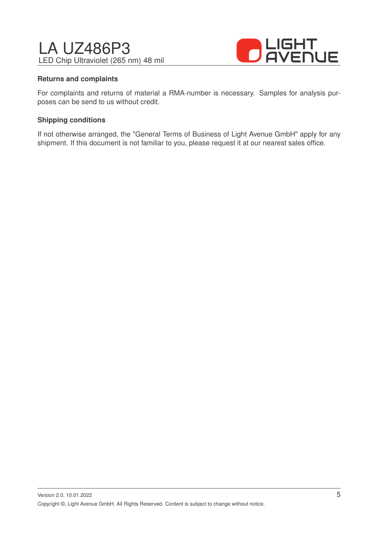# LA UZ486P3 LED Chip Ultraviolet (265 nm) 48 mil



#### **Returns and complaints**

For complaints and returns of material a RMA-number is necessary. Samples for analysis purposes can be send to us without credit.

#### **Shipping conditions**

If not otherwise arranged, the "General Terms of Business of Light Avenue GmbH" apply for any shipment. If this document is not familiar to you, please request it at our nearest sales office.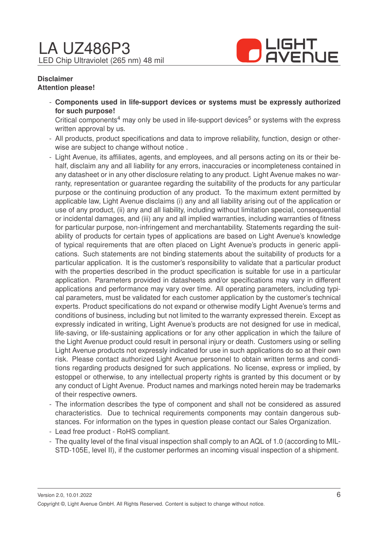

#### **Disclaimer Attention please!**

- **Components used in life-support devices or systems must be expressly authorized for such purpose!**

Critical components<sup>4</sup> may only be used in life-support devices<sup>5</sup> or systems with the express written approval by us.

- All products, product specifications and data to improve reliability, function, design or otherwise are subject to change without notice .
- Light Avenue, its affiliates, agents, and employees, and all persons acting on its or their behalf, disclaim any and all liability for any errors, inaccuracies or incompleteness contained in any datasheet or in any other disclosure relating to any product. Light Avenue makes no warranty, representation or guarantee regarding the suitability of the products for any particular purpose or the continuing production of any product. To the maximum extent permitted by applicable law, Light Avenue disclaims (i) any and all liability arising out of the application or use of any product, (ii) any and all liability, including without limitation special, consequential or incidental damages, and (iii) any and all implied warranties, including warranties of fitness for particular purpose, non-infringement and merchantability. Statements regarding the suitability of products for certain types of applications are based on Light Avenue's knowledge of typical requirements that are often placed on Light Avenue's products in generic applications. Such statements are not binding statements about the suitability of products for a particular application. It is the customer's responsibility to validate that a particular product with the properties described in the product specification is suitable for use in a particular application. Parameters provided in datasheets and/or specifications may vary in different applications and performance may vary over time. All operating parameters, including typical parameters, must be validated for each customer application by the customer's technical experts. Product specifications do not expand or otherwise modify Light Avenue's terms and conditions of business, including but not limited to the warranty expressed therein. Except as expressly indicated in writing, Light Avenue's products are not designed for use in medical, life-saving, or life-sustaining applications or for any other application in which the failure of the Light Avenue product could result in personal injury or death. Customers using or selling Light Avenue products not expressly indicated for use in such applications do so at their own risk. Please contact authorized Light Avenue personnel to obtain written terms and conditions regarding products designed for such applications. No license, express or implied, by estoppel or otherwise, to any intellectual property rights is granted by this document or by any conduct of Light Avenue. Product names and markings noted herein may be trademarks of their respective owners.
- The information describes the type of component and shall not be considered as assured characteristics. Due to technical requirements components may contain dangerous substances. For information on the types in question please contact our Sales Organization.
- Lead free product RoHS compliant.
- The quality level of the final visual inspection shall comply to an AQL of 1.0 (according to MIL-STD-105E, level II), if the customer performes an incoming visual inspection of a shipment.